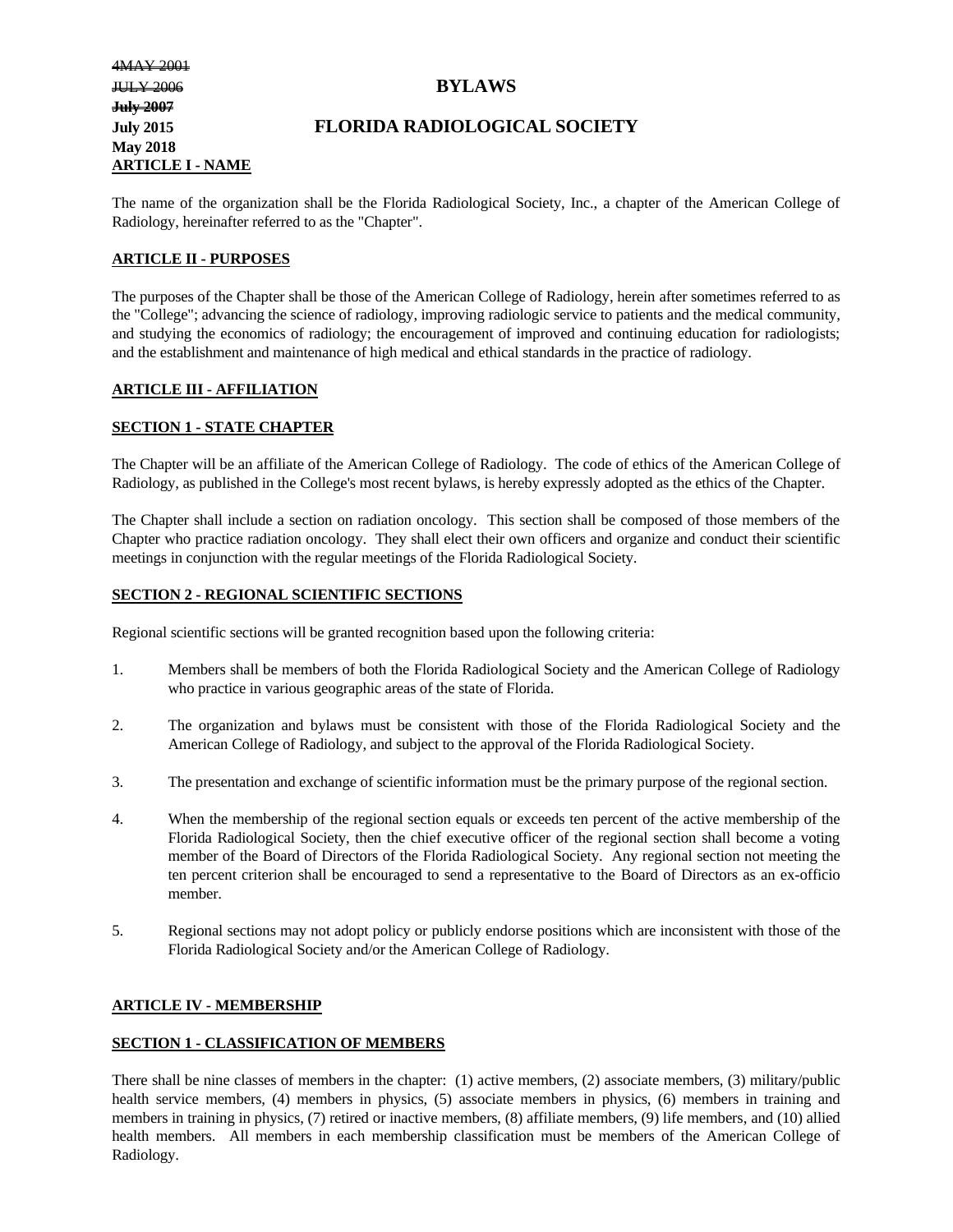# **July 2015 FLORIDA RADIOLOGICAL SOCIETY**

The name of the organization shall be the Florida Radiological Society, Inc., a chapter of the American College of Radiology, hereinafter referred to as the "Chapter".

#### **ARTICLE II - PURPOSES**

The purposes of the Chapter shall be those of the American College of Radiology, herein after sometimes referred to as the "College"; advancing the science of radiology, improving radiologic service to patients and the medical community, and studying the economics of radiology; the encouragement of improved and continuing education for radiologists; and the establishment and maintenance of high medical and ethical standards in the practice of radiology.

#### **ARTICLE III - AFFILIATION**

#### **SECTION 1 - STATE CHAPTER**

The Chapter will be an affiliate of the American College of Radiology. The code of ethics of the American College of Radiology, as published in the College's most recent bylaws, is hereby expressly adopted as the ethics of the Chapter.

The Chapter shall include a section on radiation oncology. This section shall be composed of those members of the Chapter who practice radiation oncology. They shall elect their own officers and organize and conduct their scientific meetings in conjunction with the regular meetings of the Florida Radiological Society.

#### **SECTION 2 - REGIONAL SCIENTIFIC SECTIONS**

Regional scientific sections will be granted recognition based upon the following criteria:

- 1. Members shall be members of both the Florida Radiological Society and the American College of Radiology who practice in various geographic areas of the state of Florida.
- 2. The organization and bylaws must be consistent with those of the Florida Radiological Society and the American College of Radiology, and subject to the approval of the Florida Radiological Society.
- 3. The presentation and exchange of scientific information must be the primary purpose of the regional section.
- 4. When the membership of the regional section equals or exceeds ten percent of the active membership of the Florida Radiological Society, then the chief executive officer of the regional section shall become a voting member of the Board of Directors of the Florida Radiological Society. Any regional section not meeting the ten percent criterion shall be encouraged to send a representative to the Board of Directors as an ex-officio member.
- 5. Regional sections may not adopt policy or publicly endorse positions which are inconsistent with those of the Florida Radiological Society and/or the American College of Radiology.

#### **ARTICLE IV - MEMBERSHIP**

#### **SECTION 1 - CLASSIFICATION OF MEMBERS**

There shall be nine classes of members in the chapter: (1) active members, (2) associate members, (3) military/public health service members, (4) members in physics, (5) associate members in physics, (6) members in training and members in training in physics, (7) retired or inactive members, (8) affiliate members, (9) life members, and (10) allied health members. All members in each membership classification must be members of the American College of Radiology.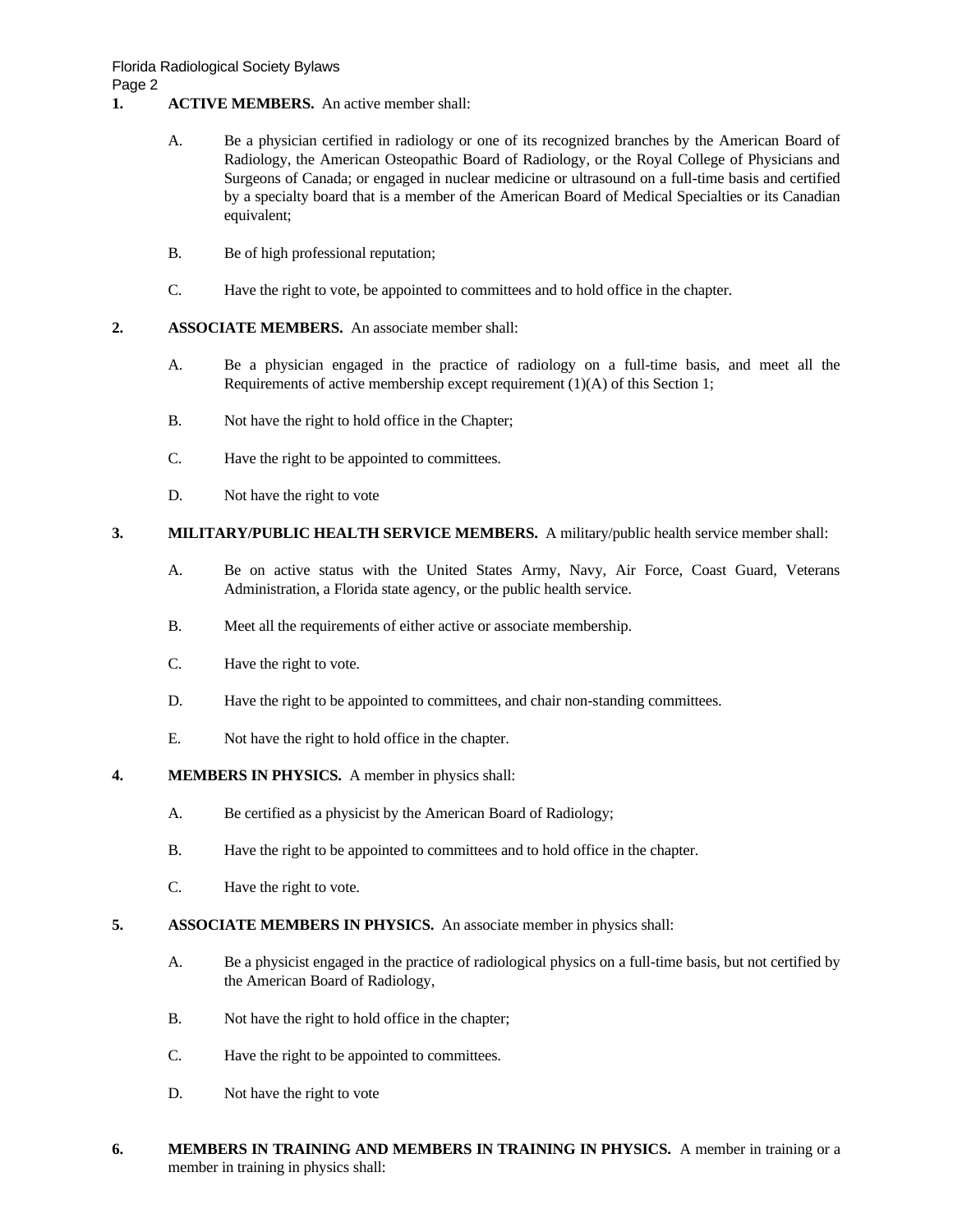- **1. ACTIVE MEMBERS.** An active member shall:
	- A. Be a physician certified in radiology or one of its recognized branches by the American Board of Radiology, the American Osteopathic Board of Radiology, or the Royal College of Physicians and Surgeons of Canada; or engaged in nuclear medicine or ultrasound on a full-time basis and certified by a specialty board that is a member of the American Board of Medical Specialties or its Canadian equivalent;
	- B. Be of high professional reputation;
	- C. Have the right to vote, be appointed to committees and to hold office in the chapter.
- **2. ASSOCIATE MEMBERS.** An associate member shall:
	- A. Be a physician engaged in the practice of radiology on a full-time basis, and meet all the Requirements of active membership except requirement (1)(A) of this Section 1;
	- B. Not have the right to hold office in the Chapter;
	- C. Have the right to be appointed to committees.
	- D. Not have the right to vote

# **3. MILITARY/PUBLIC HEALTH SERVICE MEMBERS.** A military/public health service member shall:

- A. Be on active status with the United States Army, Navy, Air Force, Coast Guard, Veterans Administration, a Florida state agency, or the public health service.
- B. Meet all the requirements of either active or associate membership.
- C. Have the right to vote.
- D. Have the right to be appointed to committees, and chair non-standing committees.
- E. Not have the right to hold office in the chapter.
- **4. MEMBERS IN PHYSICS.** A member in physics shall:
	- A. Be certified as a physicist by the American Board of Radiology;
	- B. Have the right to be appointed to committees and to hold office in the chapter.
	- C. Have the right to vote.
- **5. ASSOCIATE MEMBERS IN PHYSICS.** An associate member in physics shall:
	- A. Be a physicist engaged in the practice of radiological physics on a full-time basis, but not certified by the American Board of Radiology,
	- B. Not have the right to hold office in the chapter;
	- C. Have the right to be appointed to committees.
	- D. Not have the right to vote
- **6. MEMBERS IN TRAINING AND MEMBERS IN TRAINING IN PHYSICS.** A member in training or a member in training in physics shall: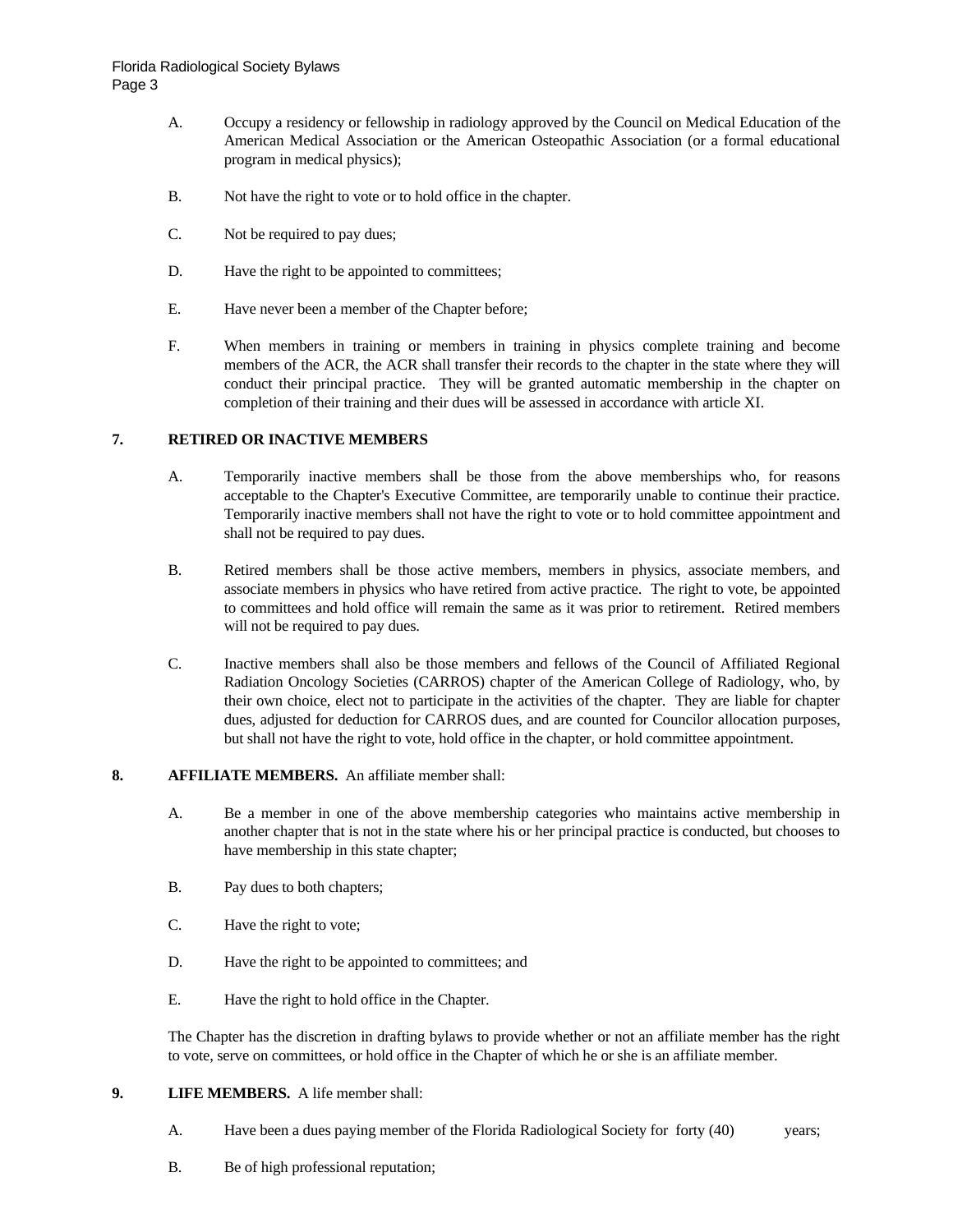- A. Occupy a residency or fellowship in radiology approved by the Council on Medical Education of the American Medical Association or the American Osteopathic Association (or a formal educational program in medical physics);
- B. Not have the right to vote or to hold office in the chapter.
- C. Not be required to pay dues;
- D. Have the right to be appointed to committees;
- E. Have never been a member of the Chapter before;
- F. When members in training or members in training in physics complete training and become members of the ACR, the ACR shall transfer their records to the chapter in the state where they will conduct their principal practice. They will be granted automatic membership in the chapter on completion of their training and their dues will be assessed in accordance with article XI.

#### **7. RETIRED OR INACTIVE MEMBERS**

- A. Temporarily inactive members shall be those from the above memberships who, for reasons acceptable to the Chapter's Executive Committee, are temporarily unable to continue their practice. Temporarily inactive members shall not have the right to vote or to hold committee appointment and shall not be required to pay dues.
- B. Retired members shall be those active members, members in physics, associate members, and associate members in physics who have retired from active practice. The right to vote, be appointed to committees and hold office will remain the same as it was prior to retirement. Retired members will not be required to pay dues.
- C. Inactive members shall also be those members and fellows of the Council of Affiliated Regional Radiation Oncology Societies (CARROS) chapter of the American College of Radiology, who, by their own choice, elect not to participate in the activities of the chapter. They are liable for chapter dues, adjusted for deduction for CARROS dues, and are counted for Councilor allocation purposes, but shall not have the right to vote, hold office in the chapter, or hold committee appointment.

#### **8. AFFILIATE MEMBERS.** An affiliate member shall:

- A. Be a member in one of the above membership categories who maintains active membership in another chapter that is not in the state where his or her principal practice is conducted, but chooses to have membership in this state chapter;
- B. Pay dues to both chapters;
- C. Have the right to vote;
- D. Have the right to be appointed to committees; and
- E. Have the right to hold office in the Chapter.

The Chapter has the discretion in drafting bylaws to provide whether or not an affiliate member has the right to vote, serve on committees, or hold office in the Chapter of which he or she is an affiliate member.

#### **9. LIFE MEMBERS.** A life member shall:

- A. Have been a dues paying member of the Florida Radiological Society for forty (40) years;
- B. Be of high professional reputation;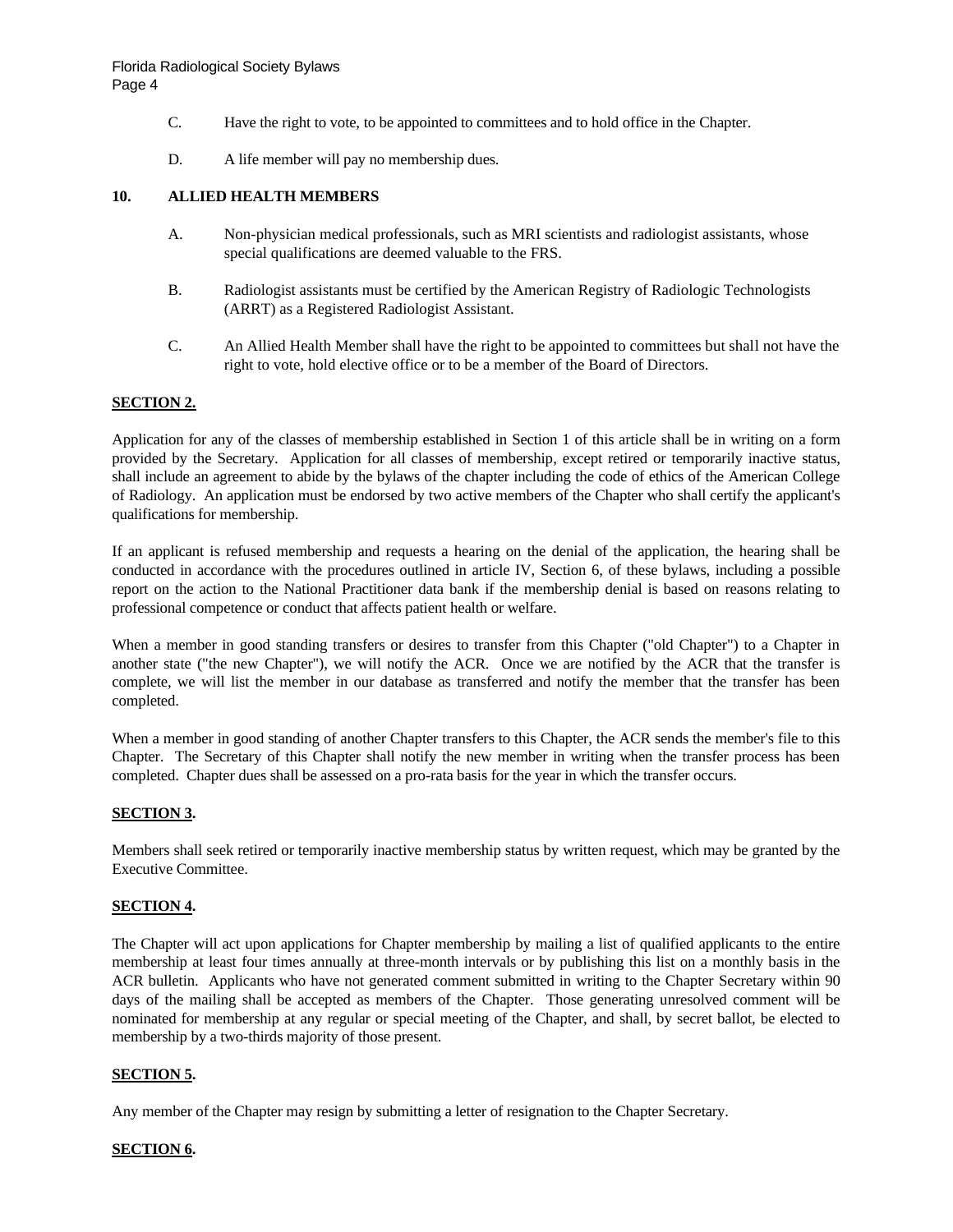- C. Have the right to vote, to be appointed to committees and to hold office in the Chapter.
- D. A life member will pay no membership dues.

### **10. ALLIED HEALTH MEMBERS**

- A. Non-physician medical professionals, such as MRI scientists and radiologist assistants, whose special qualifications are deemed valuable to the FRS.
- B. Radiologist assistants must be certified by the American Registry of Radiologic Technologists (ARRT) as a Registered Radiologist Assistant.
- C. An Allied Health Member shall have the right to be appointed to committees but shall not have the right to vote, hold elective office or to be a member of the Board of Directors.

#### **SECTION 2.**

Application for any of the classes of membership established in Section 1 of this article shall be in writing on a form provided by the Secretary. Application for all classes of membership, except retired or temporarily inactive status, shall include an agreement to abide by the bylaws of the chapter including the code of ethics of the American College of Radiology. An application must be endorsed by two active members of the Chapter who shall certify the applicant's qualifications for membership.

If an applicant is refused membership and requests a hearing on the denial of the application, the hearing shall be conducted in accordance with the procedures outlined in article IV, Section 6, of these bylaws, including a possible report on the action to the National Practitioner data bank if the membership denial is based on reasons relating to professional competence or conduct that affects patient health or welfare.

When a member in good standing transfers or desires to transfer from this Chapter ("old Chapter") to a Chapter in another state ("the new Chapter"), we will notify the ACR. Once we are notified by the ACR that the transfer is complete, we will list the member in our database as transferred and notify the member that the transfer has been completed.

When a member in good standing of another Chapter transfers to this Chapter, the ACR sends the member's file to this Chapter. The Secretary of this Chapter shall notify the new member in writing when the transfer process has been completed. Chapter dues shall be assessed on a pro-rata basis for the year in which the transfer occurs.

# **SECTION 3.**

Members shall seek retired or temporarily inactive membership status by written request, which may be granted by the Executive Committee.

## **SECTION 4.**

The Chapter will act upon applications for Chapter membership by mailing a list of qualified applicants to the entire membership at least four times annually at three-month intervals or by publishing this list on a monthly basis in the ACR bulletin. Applicants who have not generated comment submitted in writing to the Chapter Secretary within 90 days of the mailing shall be accepted as members of the Chapter. Those generating unresolved comment will be nominated for membership at any regular or special meeting of the Chapter, and shall, by secret ballot, be elected to membership by a two-thirds majority of those present.

#### **SECTION 5.**

Any member of the Chapter may resign by submitting a letter of resignation to the Chapter Secretary.

#### **SECTION 6.**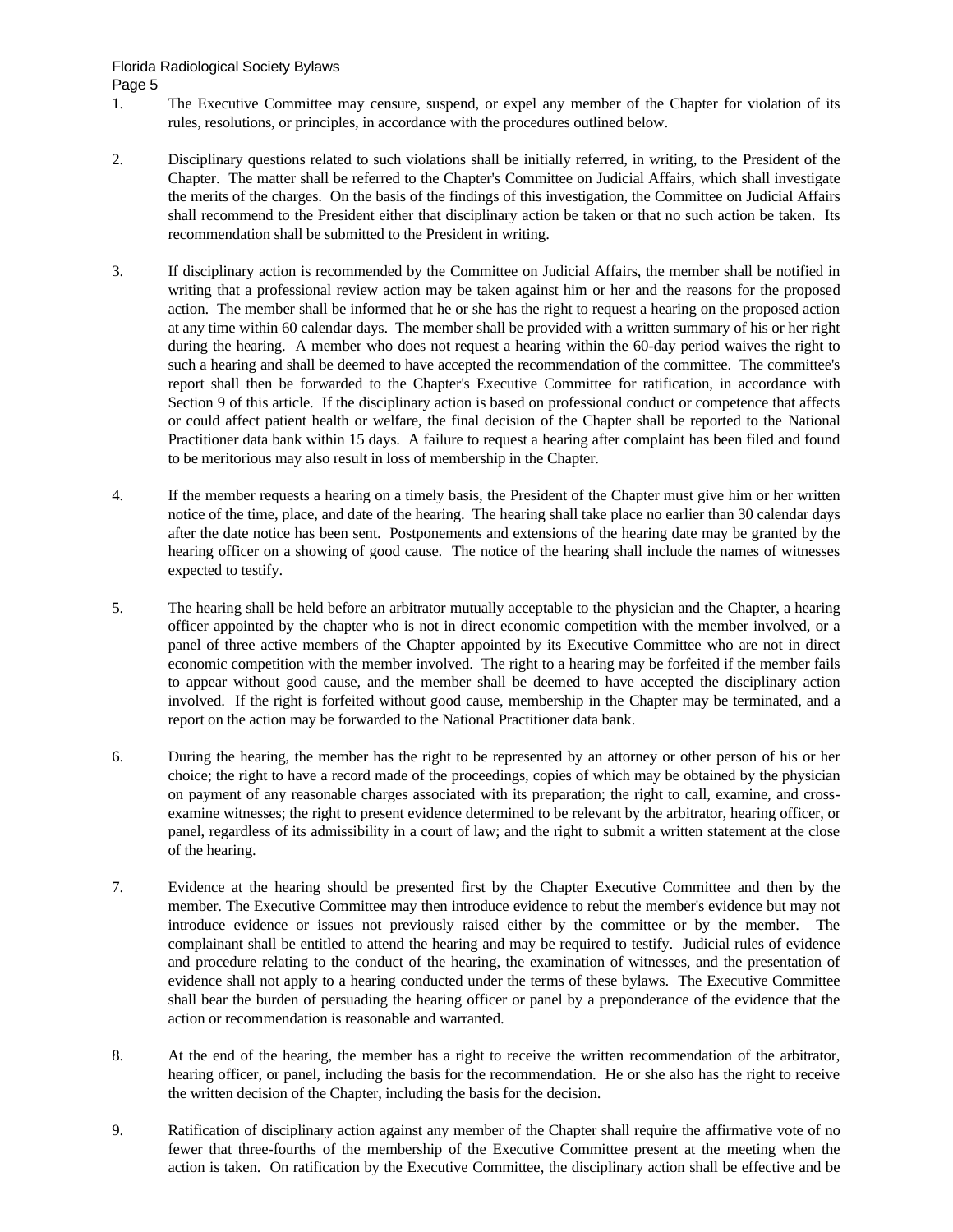- 1. The Executive Committee may censure, suspend, or expel any member of the Chapter for violation of its rules, resolutions, or principles, in accordance with the procedures outlined below.
- 2. Disciplinary questions related to such violations shall be initially referred, in writing, to the President of the Chapter. The matter shall be referred to the Chapter's Committee on Judicial Affairs, which shall investigate the merits of the charges. On the basis of the findings of this investigation, the Committee on Judicial Affairs shall recommend to the President either that disciplinary action be taken or that no such action be taken. Its recommendation shall be submitted to the President in writing.
- 3. If disciplinary action is recommended by the Committee on Judicial Affairs, the member shall be notified in writing that a professional review action may be taken against him or her and the reasons for the proposed action. The member shall be informed that he or she has the right to request a hearing on the proposed action at any time within 60 calendar days. The member shall be provided with a written summary of his or her right during the hearing. A member who does not request a hearing within the 60-day period waives the right to such a hearing and shall be deemed to have accepted the recommendation of the committee. The committee's report shall then be forwarded to the Chapter's Executive Committee for ratification, in accordance with Section 9 of this article. If the disciplinary action is based on professional conduct or competence that affects or could affect patient health or welfare, the final decision of the Chapter shall be reported to the National Practitioner data bank within 15 days. A failure to request a hearing after complaint has been filed and found to be meritorious may also result in loss of membership in the Chapter.
- 4. If the member requests a hearing on a timely basis, the President of the Chapter must give him or her written notice of the time, place, and date of the hearing. The hearing shall take place no earlier than 30 calendar days after the date notice has been sent. Postponements and extensions of the hearing date may be granted by the hearing officer on a showing of good cause. The notice of the hearing shall include the names of witnesses expected to testify.
- 5. The hearing shall be held before an arbitrator mutually acceptable to the physician and the Chapter, a hearing officer appointed by the chapter who is not in direct economic competition with the member involved, or a panel of three active members of the Chapter appointed by its Executive Committee who are not in direct economic competition with the member involved. The right to a hearing may be forfeited if the member fails to appear without good cause, and the member shall be deemed to have accepted the disciplinary action involved. If the right is forfeited without good cause, membership in the Chapter may be terminated, and a report on the action may be forwarded to the National Practitioner data bank.
- 6. During the hearing, the member has the right to be represented by an attorney or other person of his or her choice; the right to have a record made of the proceedings, copies of which may be obtained by the physician on payment of any reasonable charges associated with its preparation; the right to call, examine, and crossexamine witnesses; the right to present evidence determined to be relevant by the arbitrator, hearing officer, or panel, regardless of its admissibility in a court of law; and the right to submit a written statement at the close of the hearing.
- 7. Evidence at the hearing should be presented first by the Chapter Executive Committee and then by the member. The Executive Committee may then introduce evidence to rebut the member's evidence but may not introduce evidence or issues not previously raised either by the committee or by the member. The complainant shall be entitled to attend the hearing and may be required to testify. Judicial rules of evidence and procedure relating to the conduct of the hearing, the examination of witnesses, and the presentation of evidence shall not apply to a hearing conducted under the terms of these bylaws. The Executive Committee shall bear the burden of persuading the hearing officer or panel by a preponderance of the evidence that the action or recommendation is reasonable and warranted.
- 8. At the end of the hearing, the member has a right to receive the written recommendation of the arbitrator, hearing officer, or panel, including the basis for the recommendation. He or she also has the right to receive the written decision of the Chapter, including the basis for the decision.
- 9. Ratification of disciplinary action against any member of the Chapter shall require the affirmative vote of no fewer that three-fourths of the membership of the Executive Committee present at the meeting when the action is taken. On ratification by the Executive Committee, the disciplinary action shall be effective and be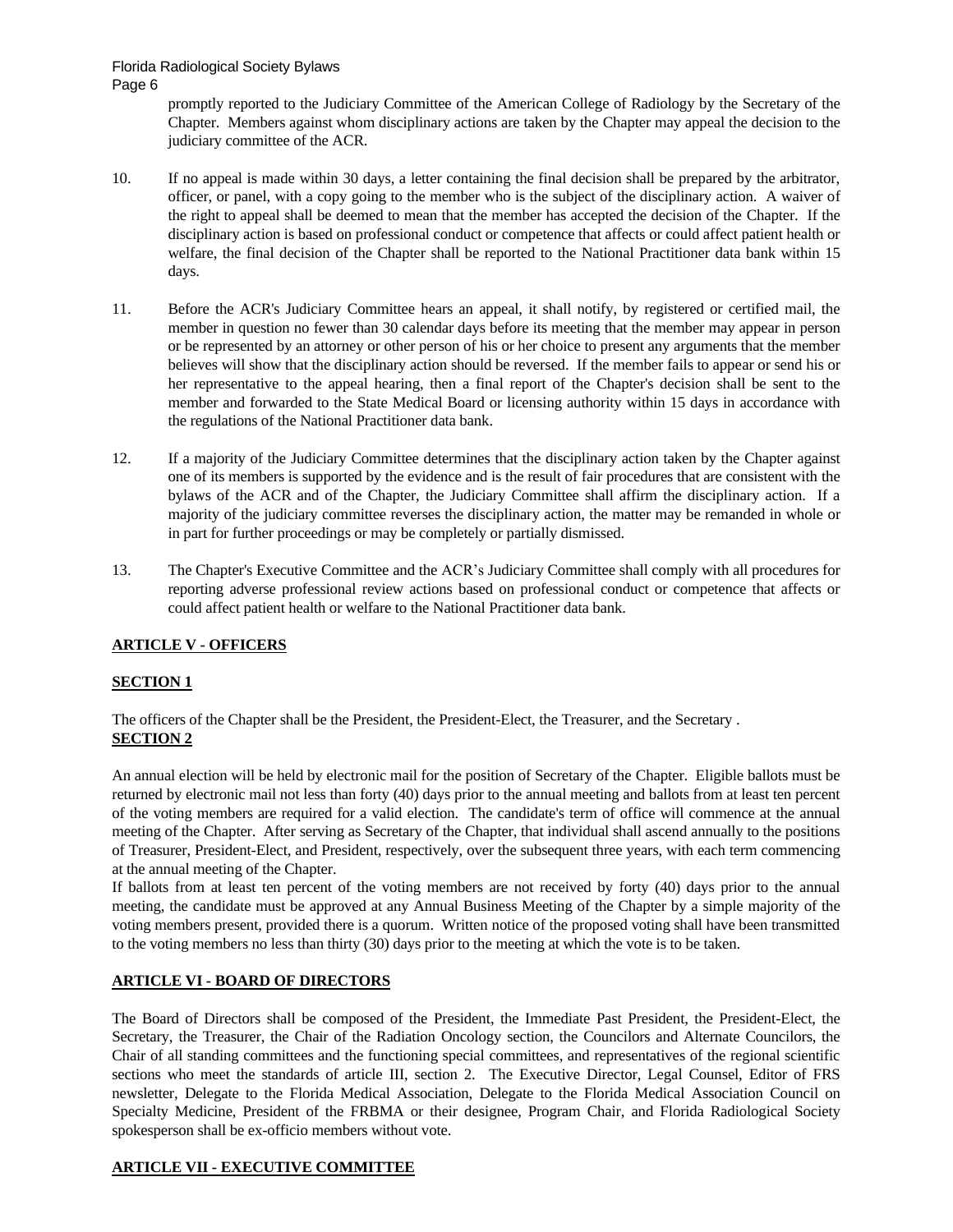> promptly reported to the Judiciary Committee of the American College of Radiology by the Secretary of the Chapter. Members against whom disciplinary actions are taken by the Chapter may appeal the decision to the judiciary committee of the ACR.

- 10. If no appeal is made within 30 days, a letter containing the final decision shall be prepared by the arbitrator, officer, or panel, with a copy going to the member who is the subject of the disciplinary action. A waiver of the right to appeal shall be deemed to mean that the member has accepted the decision of the Chapter. If the disciplinary action is based on professional conduct or competence that affects or could affect patient health or welfare, the final decision of the Chapter shall be reported to the National Practitioner data bank within 15 days.
- 11. Before the ACR's Judiciary Committee hears an appeal, it shall notify, by registered or certified mail, the member in question no fewer than 30 calendar days before its meeting that the member may appear in person or be represented by an attorney or other person of his or her choice to present any arguments that the member believes will show that the disciplinary action should be reversed. If the member fails to appear or send his or her representative to the appeal hearing, then a final report of the Chapter's decision shall be sent to the member and forwarded to the State Medical Board or licensing authority within 15 days in accordance with the regulations of the National Practitioner data bank.
- 12. If a majority of the Judiciary Committee determines that the disciplinary action taken by the Chapter against one of its members is supported by the evidence and is the result of fair procedures that are consistent with the bylaws of the ACR and of the Chapter, the Judiciary Committee shall affirm the disciplinary action. If a majority of the judiciary committee reverses the disciplinary action, the matter may be remanded in whole or in part for further proceedings or may be completely or partially dismissed.
- 13. The Chapter's Executive Committee and the ACR's Judiciary Committee shall comply with all procedures for reporting adverse professional review actions based on professional conduct or competence that affects or could affect patient health or welfare to the National Practitioner data bank.

#### **ARTICLE V - OFFICERS**

#### **SECTION 1**

The officers of the Chapter shall be the President, the President-Elect, the Treasurer, and the Secretary . **SECTION 2**

An annual election will be held by electronic mail for the position of Secretary of the Chapter. Eligible ballots must be returned by electronic mail not less than forty (40) days prior to the annual meeting and ballots from at least ten percent of the voting members are required for a valid election. The candidate's term of office will commence at the annual meeting of the Chapter. After serving as Secretary of the Chapter, that individual shall ascend annually to the positions of Treasurer, President-Elect, and President, respectively, over the subsequent three years, with each term commencing at the annual meeting of the Chapter.

If ballots from at least ten percent of the voting members are not received by forty (40) days prior to the annual meeting, the candidate must be approved at any Annual Business Meeting of the Chapter by a simple majority of the voting members present, provided there is a quorum. Written notice of the proposed voting shall have been transmitted to the voting members no less than thirty (30) days prior to the meeting at which the vote is to be taken.

#### **ARTICLE VI - BOARD OF DIRECTORS**

The Board of Directors shall be composed of the President, the Immediate Past President, the President-Elect, the Secretary, the Treasurer, the Chair of the Radiation Oncology section, the Councilors and Alternate Councilors, the Chair of all standing committees and the functioning special committees, and representatives of the regional scientific sections who meet the standards of article III, section 2. The Executive Director, Legal Counsel, Editor of FRS newsletter, Delegate to the Florida Medical Association, Delegate to the Florida Medical Association Council on Specialty Medicine, President of the FRBMA or their designee, Program Chair, and Florida Radiological Society spokesperson shall be ex-officio members without vote.

# **ARTICLE VII - EXECUTIVE COMMITTEE**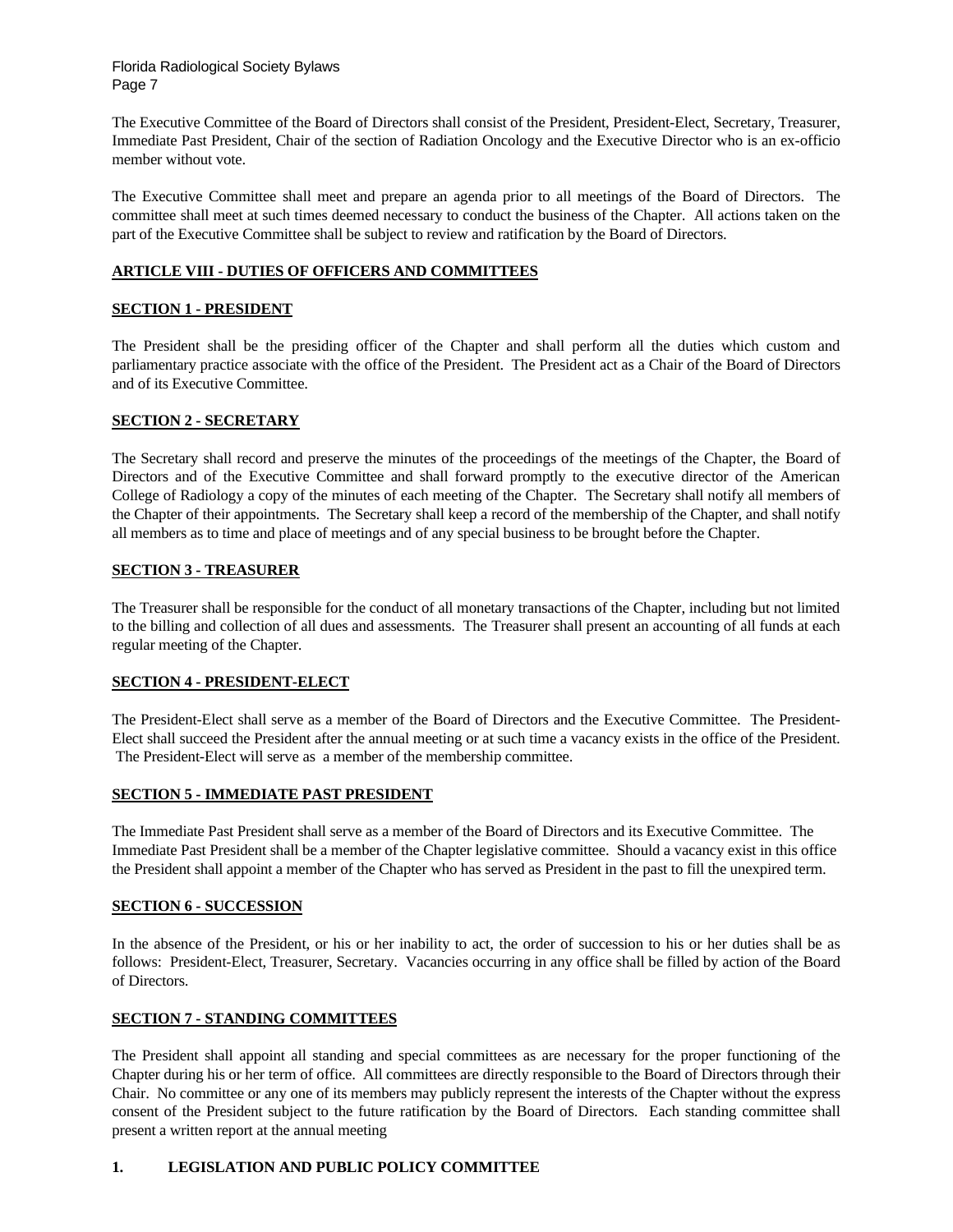The Executive Committee of the Board of Directors shall consist of the President, President-Elect, Secretary, Treasurer, Immediate Past President, Chair of the section of Radiation Oncology and the Executive Director who is an ex-officio member without vote.

The Executive Committee shall meet and prepare an agenda prior to all meetings of the Board of Directors. The committee shall meet at such times deemed necessary to conduct the business of the Chapter. All actions taken on the part of the Executive Committee shall be subject to review and ratification by the Board of Directors.

#### **ARTICLE VIII - DUTIES OF OFFICERS AND COMMITTEES**

#### **SECTION 1 - PRESIDENT**

The President shall be the presiding officer of the Chapter and shall perform all the duties which custom and parliamentary practice associate with the office of the President. The President act as a Chair of the Board of Directors and of its Executive Committee.

#### **SECTION 2 - SECRETARY**

The Secretary shall record and preserve the minutes of the proceedings of the meetings of the Chapter, the Board of Directors and of the Executive Committee and shall forward promptly to the executive director of the American College of Radiology a copy of the minutes of each meeting of the Chapter. The Secretary shall notify all members of the Chapter of their appointments. The Secretary shall keep a record of the membership of the Chapter, and shall notify all members as to time and place of meetings and of any special business to be brought before the Chapter.

#### **SECTION 3 - TREASURER**

The Treasurer shall be responsible for the conduct of all monetary transactions of the Chapter, including but not limited to the billing and collection of all dues and assessments. The Treasurer shall present an accounting of all funds at each regular meeting of the Chapter.

#### **SECTION 4 - PRESIDENT-ELECT**

The President-Elect shall serve as a member of the Board of Directors and the Executive Committee. The President-Elect shall succeed the President after the annual meeting or at such time a vacancy exists in the office of the President. The President-Elect will serve as a member of the membership committee.

#### **SECTION 5 - IMMEDIATE PAST PRESIDENT**

The Immediate Past President shall serve as a member of the Board of Directors and its Executive Committee. The Immediate Past President shall be a member of the Chapter legislative committee. Should a vacancy exist in this office the President shall appoint a member of the Chapter who has served as President in the past to fill the unexpired term.

#### **SECTION 6 - SUCCESSION**

In the absence of the President, or his or her inability to act, the order of succession to his or her duties shall be as follows: President-Elect, Treasurer, Secretary. Vacancies occurring in any office shall be filled by action of the Board of Directors.

#### **SECTION 7 - STANDING COMMITTEES**

The President shall appoint all standing and special committees as are necessary for the proper functioning of the Chapter during his or her term of office. All committees are directly responsible to the Board of Directors through their Chair. No committee or any one of its members may publicly represent the interests of the Chapter without the express consent of the President subject to the future ratification by the Board of Directors. Each standing committee shall present a written report at the annual meeting

#### **1. LEGISLATION AND PUBLIC POLICY COMMITTEE**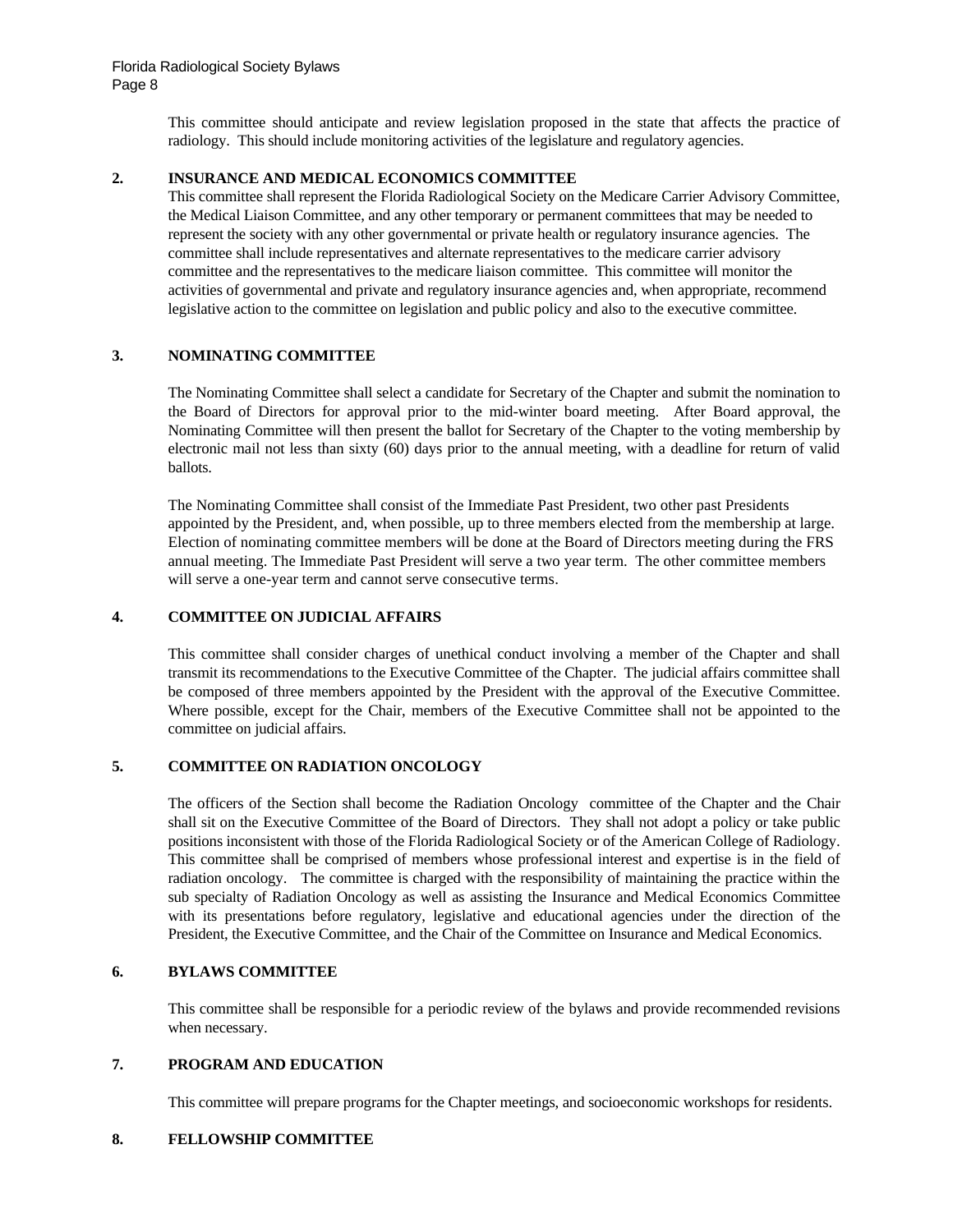This committee should anticipate and review legislation proposed in the state that affects the practice of radiology. This should include monitoring activities of the legislature and regulatory agencies.

#### **2. INSURANCE AND MEDICAL ECONOMICS COMMITTEE**

This committee shall represent the Florida Radiological Society on the Medicare Carrier Advisory Committee, the Medical Liaison Committee, and any other temporary or permanent committees that may be needed to represent the society with any other governmental or private health or regulatory insurance agencies. The committee shall include representatives and alternate representatives to the medicare carrier advisory committee and the representatives to the medicare liaison committee. This committee will monitor the activities of governmental and private and regulatory insurance agencies and, when appropriate, recommend legislative action to the committee on legislation and public policy and also to the executive committee.

## **3. NOMINATING COMMITTEE**

The Nominating Committee shall select a candidate for Secretary of the Chapter and submit the nomination to the Board of Directors for approval prior to the mid-winter board meeting. After Board approval, the Nominating Committee will then present the ballot for Secretary of the Chapter to the voting membership by electronic mail not less than sixty (60) days prior to the annual meeting, with a deadline for return of valid ballots.

The Nominating Committee shall consist of the Immediate Past President, two other past Presidents appointed by the President, and, when possible, up to three members elected from the membership at large. Election of nominating committee members will be done at the Board of Directors meeting during the FRS annual meeting. The Immediate Past President will serve a two year term. The other committee members will serve a one-year term and cannot serve consecutive terms.

### **4. COMMITTEE ON JUDICIAL AFFAIRS**

This committee shall consider charges of unethical conduct involving a member of the Chapter and shall transmit its recommendations to the Executive Committee of the Chapter. The judicial affairs committee shall be composed of three members appointed by the President with the approval of the Executive Committee. Where possible, except for the Chair, members of the Executive Committee shall not be appointed to the committee on judicial affairs.

#### **5. COMMITTEE ON RADIATION ONCOLOGY**

The officers of the Section shall become the Radiation Oncology committee of the Chapter and the Chair shall sit on the Executive Committee of the Board of Directors. They shall not adopt a policy or take public positions inconsistent with those of the Florida Radiological Society or of the American College of Radiology. This committee shall be comprised of members whose professional interest and expertise is in the field of radiation oncology. The committee is charged with the responsibility of maintaining the practice within the sub specialty of Radiation Oncology as well as assisting the Insurance and Medical Economics Committee with its presentations before regulatory, legislative and educational agencies under the direction of the President, the Executive Committee, and the Chair of the Committee on Insurance and Medical Economics.

## **6. BYLAWS COMMITTEE**

This committee shall be responsible for a periodic review of the bylaws and provide recommended revisions when necessary.

#### **7. PROGRAM AND EDUCATION**

This committee will prepare programs for the Chapter meetings, and socioeconomic workshops for residents.

#### **8. FELLOWSHIP COMMITTEE**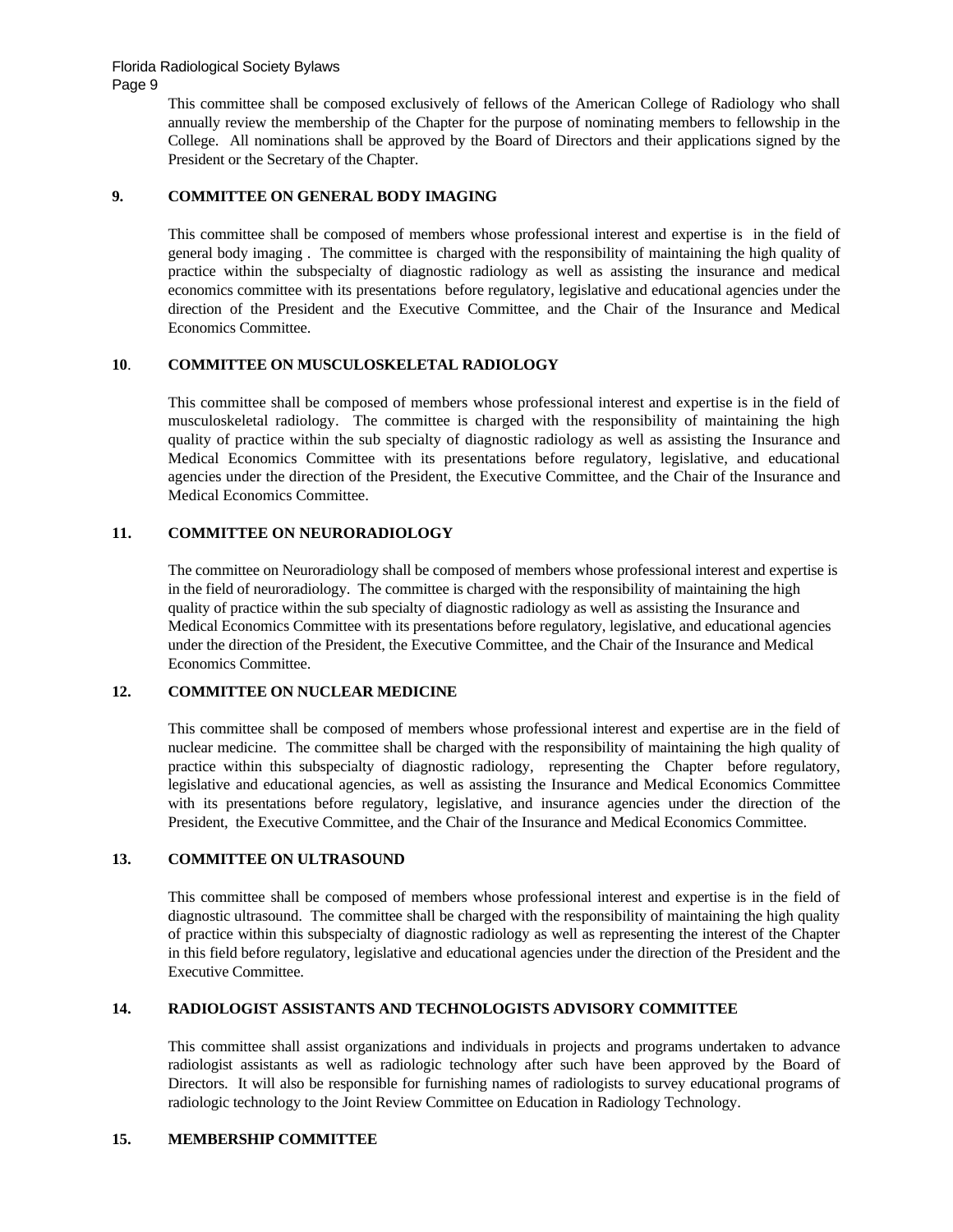Page 9

This committee shall be composed exclusively of fellows of the American College of Radiology who shall annually review the membership of the Chapter for the purpose of nominating members to fellowship in the College. All nominations shall be approved by the Board of Directors and their applications signed by the President or the Secretary of the Chapter.

# **9. COMMITTEE ON GENERAL BODY IMAGING**

This committee shall be composed of members whose professional interest and expertise is in the field of general body imaging . The committee is charged with the responsibility of maintaining the high quality of practice within the subspecialty of diagnostic radiology as well as assisting the insurance and medical economics committee with its presentations before regulatory, legislative and educational agencies under the direction of the President and the Executive Committee, and the Chair of the Insurance and Medical Economics Committee.

#### **10**. **COMMITTEE ON MUSCULOSKELETAL RADIOLOGY**

This committee shall be composed of members whose professional interest and expertise is in the field of musculoskeletal radiology. The committee is charged with the responsibility of maintaining the high quality of practice within the sub specialty of diagnostic radiology as well as assisting the Insurance and Medical Economics Committee with its presentations before regulatory, legislative, and educational agencies under the direction of the President, the Executive Committee, and the Chair of the Insurance and Medical Economics Committee.

## **11. COMMITTEE ON NEURORADIOLOGY**

The committee on Neuroradiology shall be composed of members whose professional interest and expertise is in the field of neuroradiology. The committee is charged with the responsibility of maintaining the high quality of practice within the sub specialty of diagnostic radiology as well as assisting the Insurance and Medical Economics Committee with its presentations before regulatory, legislative, and educational agencies under the direction of the President, the Executive Committee, and the Chair of the Insurance and Medical Economics Committee.

#### **12. COMMITTEE ON NUCLEAR MEDICINE**

This committee shall be composed of members whose professional interest and expertise are in the field of nuclear medicine. The committee shall be charged with the responsibility of maintaining the high quality of practice within this subspecialty of diagnostic radiology, representing the Chapter before regulatory, legislative and educational agencies, as well as assisting the Insurance and Medical Economics Committee with its presentations before regulatory, legislative, and insurance agencies under the direction of the President, the Executive Committee, and the Chair of the Insurance and Medical Economics Committee.

#### **13. COMMITTEE ON ULTRASOUND**

This committee shall be composed of members whose professional interest and expertise is in the field of diagnostic ultrasound. The committee shall be charged with the responsibility of maintaining the high quality of practice within this subspecialty of diagnostic radiology as well as representing the interest of the Chapter in this field before regulatory, legislative and educational agencies under the direction of the President and the Executive Committee.

#### **14. RADIOLOGIST ASSISTANTS AND TECHNOLOGISTS ADVISORY COMMITTEE**

This committee shall assist organizations and individuals in projects and programs undertaken to advance radiologist assistants as well as radiologic technology after such have been approved by the Board of Directors. It will also be responsible for furnishing names of radiologists to survey educational programs of radiologic technology to the Joint Review Committee on Education in Radiology Technology.

#### **15. MEMBERSHIP COMMITTEE**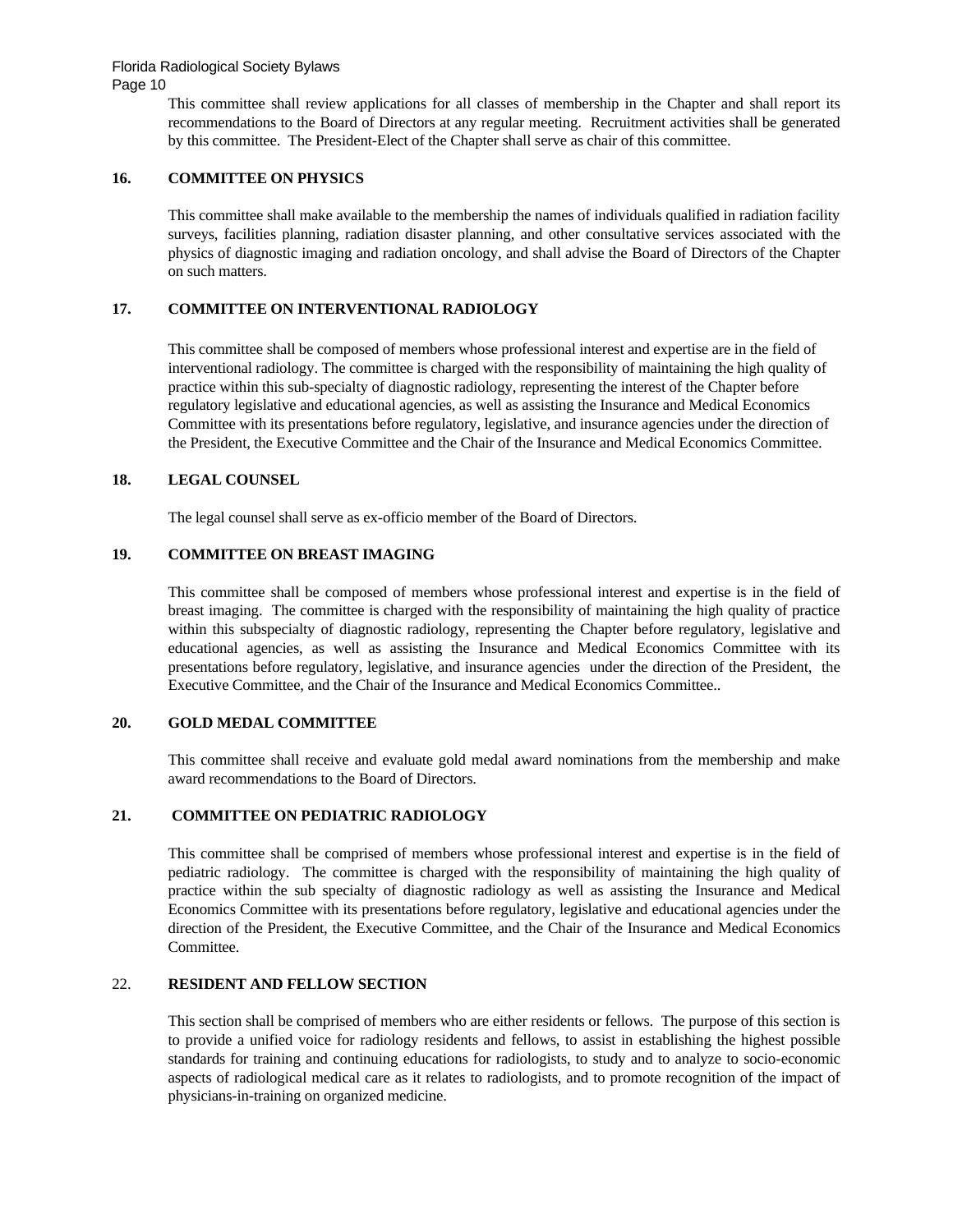Page 10

This committee shall review applications for all classes of membership in the Chapter and shall report its recommendations to the Board of Directors at any regular meeting. Recruitment activities shall be generated by this committee. The President-Elect of the Chapter shall serve as chair of this committee.

# **16. COMMITTEE ON PHYSICS**

This committee shall make available to the membership the names of individuals qualified in radiation facility surveys, facilities planning, radiation disaster planning, and other consultative services associated with the physics of diagnostic imaging and radiation oncology, and shall advise the Board of Directors of the Chapter on such matters.

## **17. COMMITTEE ON INTERVENTIONAL RADIOLOGY**

This committee shall be composed of members whose professional interest and expertise are in the field of interventional radiology. The committee is charged with the responsibility of maintaining the high quality of practice within this sub-specialty of diagnostic radiology, representing the interest of the Chapter before regulatory legislative and educational agencies, as well as assisting the Insurance and Medical Economics Committee with its presentations before regulatory, legislative, and insurance agencies under the direction of the President, the Executive Committee and the Chair of the Insurance and Medical Economics Committee.

#### **18. LEGAL COUNSEL**

The legal counsel shall serve as ex-officio member of the Board of Directors.

#### **19. COMMITTEE ON BREAST IMAGING**

This committee shall be composed of members whose professional interest and expertise is in the field of breast imaging. The committee is charged with the responsibility of maintaining the high quality of practice within this subspecialty of diagnostic radiology, representing the Chapter before regulatory, legislative and educational agencies, as well as assisting the Insurance and Medical Economics Committee with its presentations before regulatory, legislative, and insurance agencies under the direction of the President, the Executive Committee, and the Chair of the Insurance and Medical Economics Committee..

#### **20. GOLD MEDAL COMMITTEE**

This committee shall receive and evaluate gold medal award nominations from the membership and make award recommendations to the Board of Directors.

#### **21. COMMITTEE ON PEDIATRIC RADIOLOGY**

This committee shall be comprised of members whose professional interest and expertise is in the field of pediatric radiology. The committee is charged with the responsibility of maintaining the high quality of practice within the sub specialty of diagnostic radiology as well as assisting the Insurance and Medical Economics Committee with its presentations before regulatory, legislative and educational agencies under the direction of the President, the Executive Committee, and the Chair of the Insurance and Medical Economics Committee.

# 22. **RESIDENT AND FELLOW SECTION**

This section shall be comprised of members who are either residents or fellows. The purpose of this section is to provide a unified voice for radiology residents and fellows, to assist in establishing the highest possible standards for training and continuing educations for radiologists, to study and to analyze to socio-economic aspects of radiological medical care as it relates to radiologists, and to promote recognition of the impact of physicians-in-training on organized medicine.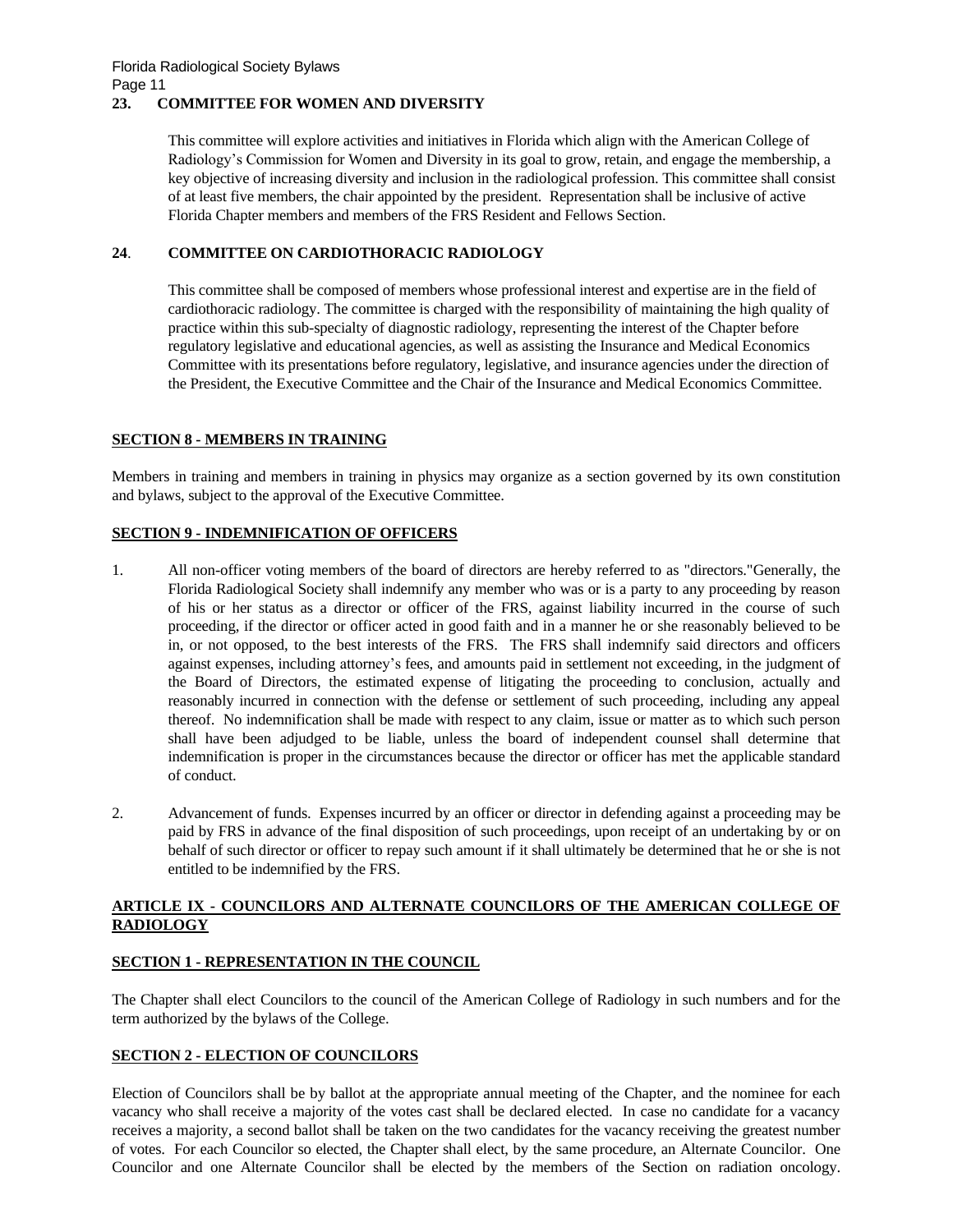## **23. COMMITTEE FOR WOMEN AND DIVERSITY**

This committee will explore activities and initiatives in Florida which align with the American College of Radiology's Commission for Women and Diversity in its goal to grow, retain, and engage the membership, a key objective of increasing diversity and inclusion in the radiological profession. This committee shall consist of at least five members, the chair appointed by the president. Representation shall be inclusive of active Florida Chapter members and members of the FRS Resident and Fellows Section.

#### **24**. **COMMITTEE ON CARDIOTHORACIC RADIOLOGY**

This committee shall be composed of members whose professional interest and expertise are in the field of cardiothoracic radiology. The committee is charged with the responsibility of maintaining the high quality of practice within this sub-specialty of diagnostic radiology, representing the interest of the Chapter before regulatory legislative and educational agencies, as well as assisting the Insurance and Medical Economics Committee with its presentations before regulatory, legislative, and insurance agencies under the direction of the President, the Executive Committee and the Chair of the Insurance and Medical Economics Committee.

## **SECTION 8 - MEMBERS IN TRAINING**

Members in training and members in training in physics may organize as a section governed by its own constitution and bylaws, subject to the approval of the Executive Committee.

## **SECTION 9 - INDEMNIFICATION OF OFFICERS**

- 1. All non-officer voting members of the board of directors are hereby referred to as "directors."Generally, the Florida Radiological Society shall indemnify any member who was or is a party to any proceeding by reason of his or her status as a director or officer of the FRS, against liability incurred in the course of such proceeding, if the director or officer acted in good faith and in a manner he or she reasonably believed to be in, or not opposed, to the best interests of the FRS. The FRS shall indemnify said directors and officers against expenses, including attorney's fees, and amounts paid in settlement not exceeding, in the judgment of the Board of Directors, the estimated expense of litigating the proceeding to conclusion, actually and reasonably incurred in connection with the defense or settlement of such proceeding, including any appeal thereof. No indemnification shall be made with respect to any claim, issue or matter as to which such person shall have been adjudged to be liable, unless the board of independent counsel shall determine that indemnification is proper in the circumstances because the director or officer has met the applicable standard of conduct.
- 2. Advancement of funds. Expenses incurred by an officer or director in defending against a proceeding may be paid by FRS in advance of the final disposition of such proceedings, upon receipt of an undertaking by or on behalf of such director or officer to repay such amount if it shall ultimately be determined that he or she is not entitled to be indemnified by the FRS.

## **ARTICLE IX - COUNCILORS AND ALTERNATE COUNCILORS OF THE AMERICAN COLLEGE OF RADIOLOGY**

# **SECTION 1 - REPRESENTATION IN THE COUNCIL**

The Chapter shall elect Councilors to the council of the American College of Radiology in such numbers and for the term authorized by the bylaws of the College.

#### **SECTION 2 - ELECTION OF COUNCILORS**

Election of Councilors shall be by ballot at the appropriate annual meeting of the Chapter, and the nominee for each vacancy who shall receive a majority of the votes cast shall be declared elected. In case no candidate for a vacancy receives a majority, a second ballot shall be taken on the two candidates for the vacancy receiving the greatest number of votes. For each Councilor so elected, the Chapter shall elect, by the same procedure, an Alternate Councilor. One Councilor and one Alternate Councilor shall be elected by the members of the Section on radiation oncology.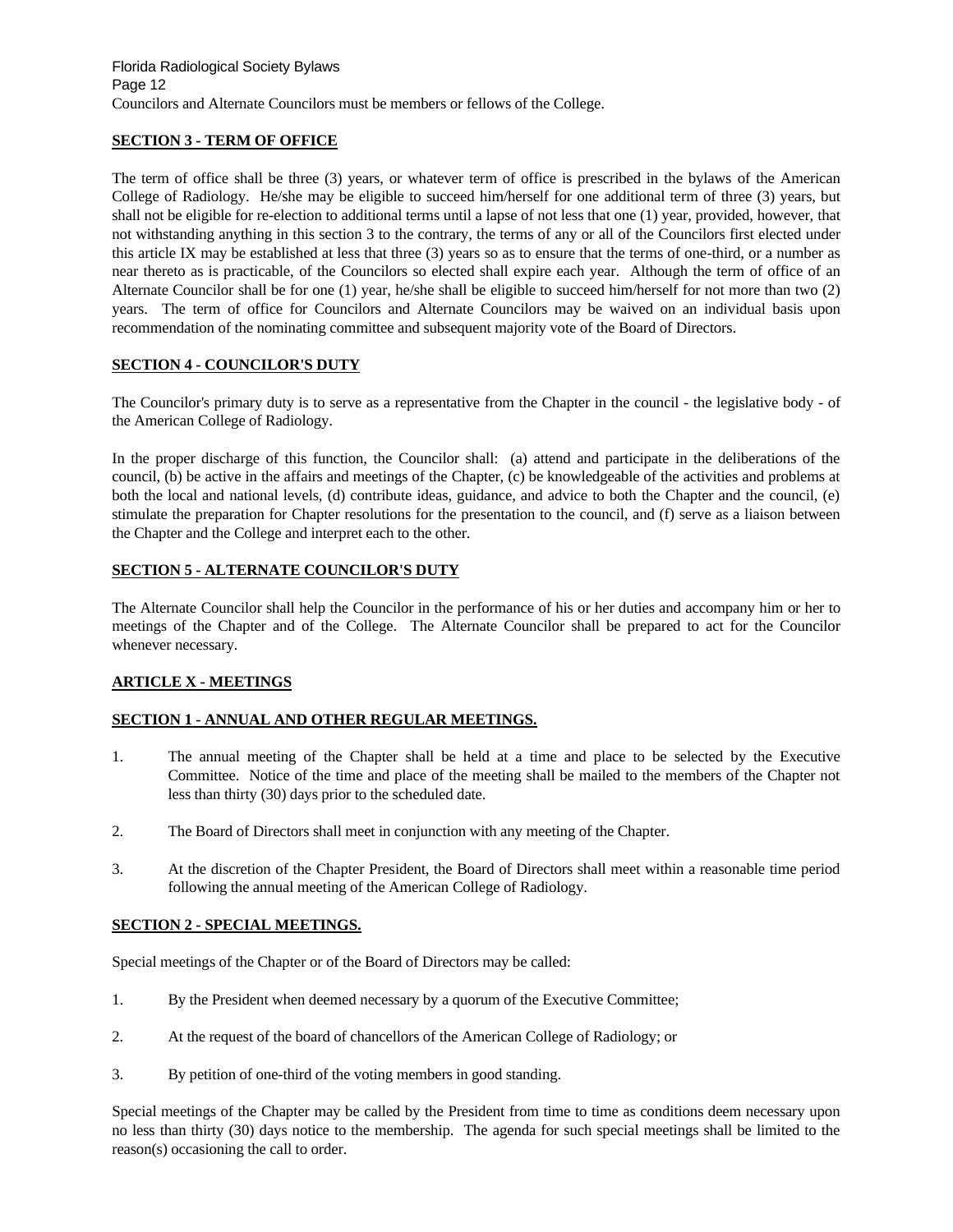## **SECTION 3 - TERM OF OFFICE**

The term of office shall be three (3) years, or whatever term of office is prescribed in the bylaws of the American College of Radiology. He/she may be eligible to succeed him/herself for one additional term of three (3) years, but shall not be eligible for re-election to additional terms until a lapse of not less that one (1) year, provided, however, that not withstanding anything in this section 3 to the contrary, the terms of any or all of the Councilors first elected under this article IX may be established at less that three (3) years so as to ensure that the terms of one-third, or a number as near thereto as is practicable, of the Councilors so elected shall expire each year. Although the term of office of an Alternate Councilor shall be for one (1) year, he/she shall be eligible to succeed him/herself for not more than two (2) years. The term of office for Councilors and Alternate Councilors may be waived on an individual basis upon recommendation of the nominating committee and subsequent majority vote of the Board of Directors.

## **SECTION 4 - COUNCILOR'S DUTY**

The Councilor's primary duty is to serve as a representative from the Chapter in the council - the legislative body - of the American College of Radiology.

In the proper discharge of this function, the Councilor shall: (a) attend and participate in the deliberations of the council, (b) be active in the affairs and meetings of the Chapter, (c) be knowledgeable of the activities and problems at both the local and national levels, (d) contribute ideas, guidance, and advice to both the Chapter and the council, (e) stimulate the preparation for Chapter resolutions for the presentation to the council, and (f) serve as a liaison between the Chapter and the College and interpret each to the other.

## **SECTION 5 - ALTERNATE COUNCILOR'S DUTY**

The Alternate Councilor shall help the Councilor in the performance of his or her duties and accompany him or her to meetings of the Chapter and of the College. The Alternate Councilor shall be prepared to act for the Councilor whenever necessary.

#### **ARTICLE X - MEETINGS**

# **SECTION 1 - ANNUAL AND OTHER REGULAR MEETINGS.**

- 1. The annual meeting of the Chapter shall be held at a time and place to be selected by the Executive Committee. Notice of the time and place of the meeting shall be mailed to the members of the Chapter not less than thirty (30) days prior to the scheduled date.
- 2. The Board of Directors shall meet in conjunction with any meeting of the Chapter.
- 3. At the discretion of the Chapter President, the Board of Directors shall meet within a reasonable time period following the annual meeting of the American College of Radiology.

#### **SECTION 2 - SPECIAL MEETINGS.**

Special meetings of the Chapter or of the Board of Directors may be called:

- 1. By the President when deemed necessary by a quorum of the Executive Committee;
- 2. At the request of the board of chancellors of the American College of Radiology; or
- 3. By petition of one-third of the voting members in good standing.

Special meetings of the Chapter may be called by the President from time to time as conditions deem necessary upon no less than thirty (30) days notice to the membership. The agenda for such special meetings shall be limited to the reason(s) occasioning the call to order.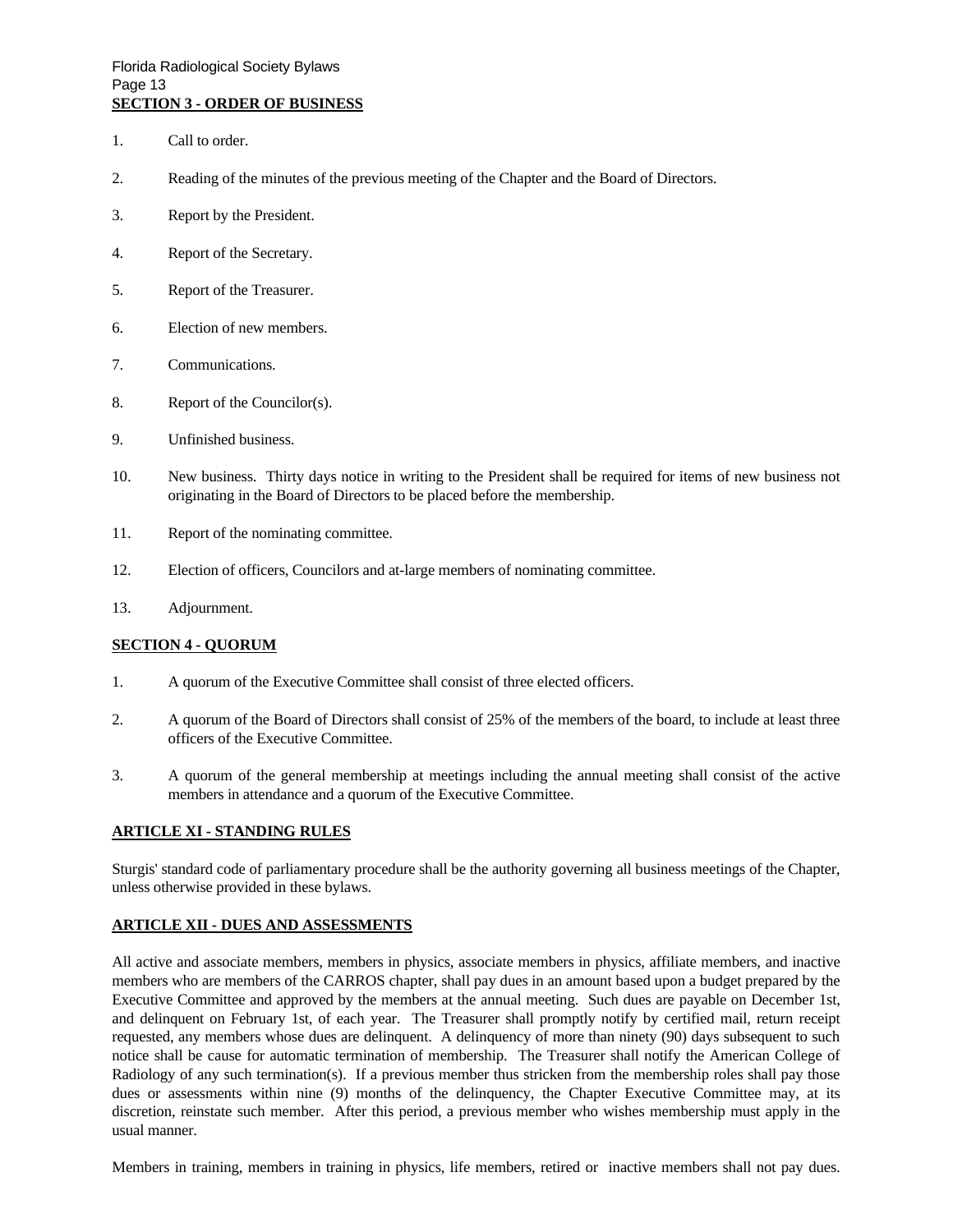- 1. Call to order.
- 2. Reading of the minutes of the previous meeting of the Chapter and the Board of Directors.
- 3. Report by the President.
- 4. Report of the Secretary.
- 5. Report of the Treasurer.
- 6. Election of new members.
- 7. Communications.
- 8. Report of the Councilor(s).
- 9. Unfinished business.
- 10. New business. Thirty days notice in writing to the President shall be required for items of new business not originating in the Board of Directors to be placed before the membership.
- 11. Report of the nominating committee.
- 12. Election of officers, Councilors and at-large members of nominating committee.
- 13. Adjournment.

#### **SECTION 4 - QUORUM**

- 1. A quorum of the Executive Committee shall consist of three elected officers.
- 2. A quorum of the Board of Directors shall consist of 25% of the members of the board, to include at least three officers of the Executive Committee.
- 3. A quorum of the general membership at meetings including the annual meeting shall consist of the active members in attendance and a quorum of the Executive Committee.

#### **ARTICLE XI - STANDING RULES**

Sturgis' standard code of parliamentary procedure shall be the authority governing all business meetings of the Chapter, unless otherwise provided in these bylaws.

#### **ARTICLE XII - DUES AND ASSESSMENTS**

All active and associate members, members in physics, associate members in physics, affiliate members, and inactive members who are members of the CARROS chapter, shall pay dues in an amount based upon a budget prepared by the Executive Committee and approved by the members at the annual meeting. Such dues are payable on December 1st, and delinquent on February 1st, of each year. The Treasurer shall promptly notify by certified mail, return receipt requested, any members whose dues are delinquent. A delinquency of more than ninety (90) days subsequent to such notice shall be cause for automatic termination of membership. The Treasurer shall notify the American College of Radiology of any such termination(s). If a previous member thus stricken from the membership roles shall pay those dues or assessments within nine (9) months of the delinquency, the Chapter Executive Committee may, at its discretion, reinstate such member. After this period, a previous member who wishes membership must apply in the usual manner.

Members in training, members in training in physics, life members, retired or inactive members shall not pay dues.